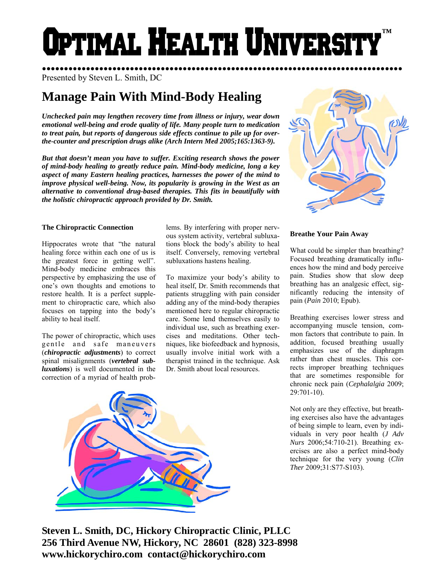# Optimal Health Universi **™**

●●●●●●●●●●●●●●●●●●●●●●●●●●●●●●●●●●●●●●●●●●●●●●●●●●●●●●●●●●●●●●●●●●●●●●●●●●●●●●●●●● Presented by Steven L. Smith, DC

## **Manage Pain With Mind-Body Healing**

*Unchecked pain may lengthen recovery time from illness or injury, wear down emotional well-being and erode quality of life. Many people turn to medication to treat pain, but reports of dangerous side effects continue to pile up for overthe-counter and prescription drugs alike (Arch Intern Med 2005;165:1363-9).* 

*But that doesn't mean you have to suffer. Exciting research shows the power of mind-body healing to greatly reduce pain. Mind-body medicine, long a key aspect of many Eastern healing practices, harnesses the power of the mind to improve physical well-being. Now, its popularity is growing in the West as an alternative to conventional drug-based therapies. This fits in beautifully with the holistic chiropractic approach provided by Dr. Smith.* 

#### **The Chiropractic Connection**

Hippocrates wrote that "the natural healing force within each one of us is the greatest force in getting well". Mind-body medicine embraces this perspective by emphasizing the use of one's own thoughts and emotions to restore health. It is a perfect supplement to chiropractic care, which also focuses on tapping into the body's ability to heal itself.

The power of chiropractic, which uses gentle and safe maneuvers (*chiropractic adjustments*) to correct spinal misalignments (*vertebral subluxations*) is well documented in the correction of a myriad of health problems. By interfering with proper nervous system activity, vertebral subluxations block the body's ability to heal itself. Conversely, removing vertebral subluxations hastens healing.

To maximize your body's ability to heal itself, Dr. Smith recommends that patients struggling with pain consider adding any of the mind-body therapies mentioned here to regular chiropractic care. Some lend themselves easily to individual use, such as breathing exercises and meditations. Other techniques, like biofeedback and hypnosis, usually involve initial work with a therapist trained in the technique. Ask Dr. Smith about local resources.



### **Breathe Your Pain Away**

What could be simpler than breathing? Focused breathing dramatically influences how the mind and body perceive pain. Studies show that slow deep breathing has an analgesic effect, significantly reducing the intensity of pain (*Pain* 2010; Epub).

Breathing exercises lower stress and accompanying muscle tension, common factors that contribute to pain. In addition, focused breathing usually emphasizes use of the diaphragm rather than chest muscles. This corrects improper breathing techniques that are sometimes responsible for chronic neck pain (*Cephalalgia* 2009; 29:701-10).

Not only are they effective, but breathing exercises also have the advantages of being simple to learn, even by individuals in very poor health (*J Adv Nurs* 2006;54:710-21). Breathing exercises are also a perfect mind-body technique for the very young (*Clin Ther* 2009;31:S77-S103).



**Steven L. Smith, DC, Hickory Chiropractic Clinic, PLLC 256 Third Avenue NW, Hickory, NC 28601 (828) 323-8998 www.hickorychiro.com contact@hickorychiro.com**